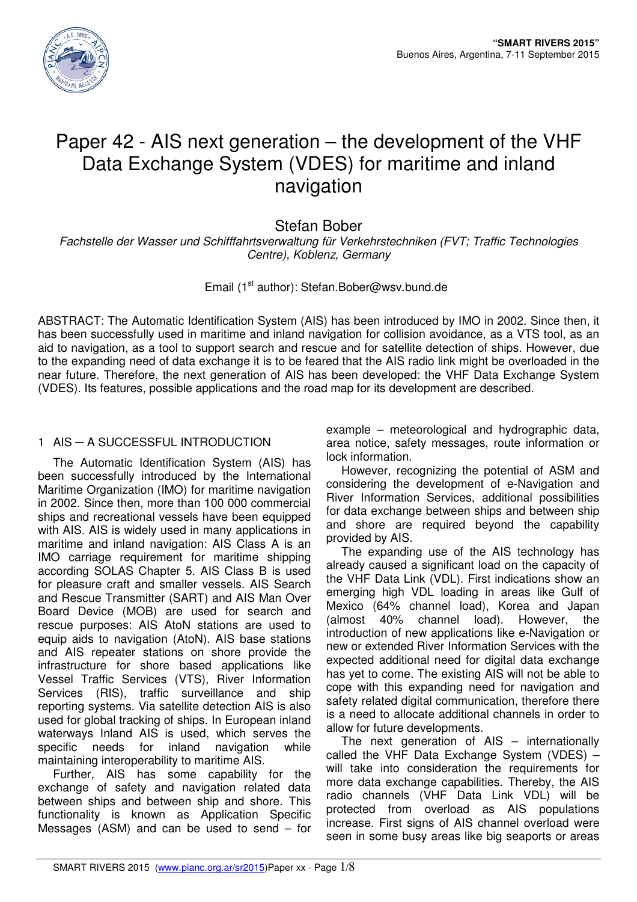

# Paper 42 - AIS next generation – the development of the VHF Data Exchange System (VDES) for maritime and inland navigation

# Stefan Bober

Fachstelle der Wasser und Schifffahrtsverwaltung für Verkehrstechniken (FVT; Traffic Technologies Centre), Koblenz, Germany

# Email (1<sup>st</sup> author): Stefan.Bober@wsv.bund.de

ABSTRACT: The Automatic Identification System (AIS) has been introduced by IMO in 2002. Since then, it has been successfully used in maritime and inland navigation for collision avoidance, as a VTS tool, as an aid to navigation, as a tool to support search and rescue and for satellite detection of ships. However, due to the expanding need of data exchange it is to be feared that the AIS radio link might be overloaded in the near future. Therefore, the next generation of AIS has been developed: the VHF Data Exchange System (VDES). Its features, possible applications and the road map for its development are described.

# 1 AIS ─ A SUCCESSFUL INTRODUCTION

The Automatic Identification System (AIS) has been successfully introduced by the International Maritime Organization (IMO) for maritime navigation in 2002. Since then, more than 100 000 commercial ships and recreational vessels have been equipped with AIS. AIS is widely used in many applications in maritime and inland navigation: AIS Class A is an IMO carriage requirement for maritime shipping according SOLAS Chapter 5. AIS Class B is used for pleasure craft and smaller vessels. AIS Search and Rescue Transmitter (SART) and AIS Man Over Board Device (MOB) are used for search and rescue purposes: AIS AtoN stations are used to equip aids to navigation (AtoN). AIS base stations and AIS repeater stations on shore provide the infrastructure for shore based applications like Vessel Traffic Services (VTS), River Information Services (RIS), traffic surveillance and ship reporting systems. Via satellite detection AIS is also used for global tracking of ships. In European inland waterways Inland AIS is used, which serves the specific needs for inland navigation while maintaining interoperability to maritime AIS.

Further, AIS has some capability for the exchange of safety and navigation related data between ships and between ship and shore. This functionality is known as Application Specific Messages (ASM) and can be used to send – for

example – meteorological and hydrographic data, area notice, safety messages, route information or lock information.

However, recognizing the potential of ASM and considering the development of e-Navigation and River Information Services, additional possibilities for data exchange between ships and between ship and shore are required beyond the capability provided by AIS.

The expanding use of the AIS technology has already caused a significant load on the capacity of the VHF Data Link (VDL). First indications show an emerging high VDL loading in areas like Gulf of Mexico (64% channel load), Korea and Japan (almost 40% channel load). However, the introduction of new applications like e-Navigation or new or extended River Information Services with the expected additional need for digital data exchange has yet to come. The existing AIS will not be able to cope with this expanding need for navigation and safety related digital communication, therefore there is a need to allocate additional channels in order to allow for future developments.

The next generation of AIS – internationally called the VHF Data Exchange System (VDES) – will take into consideration the requirements for more data exchange capabilities. Thereby, the AIS radio channels (VHF Data Link VDL) will be protected from overload as AIS populations increase. First signs of AIS channel overload were seen in some busy areas like big seaports or areas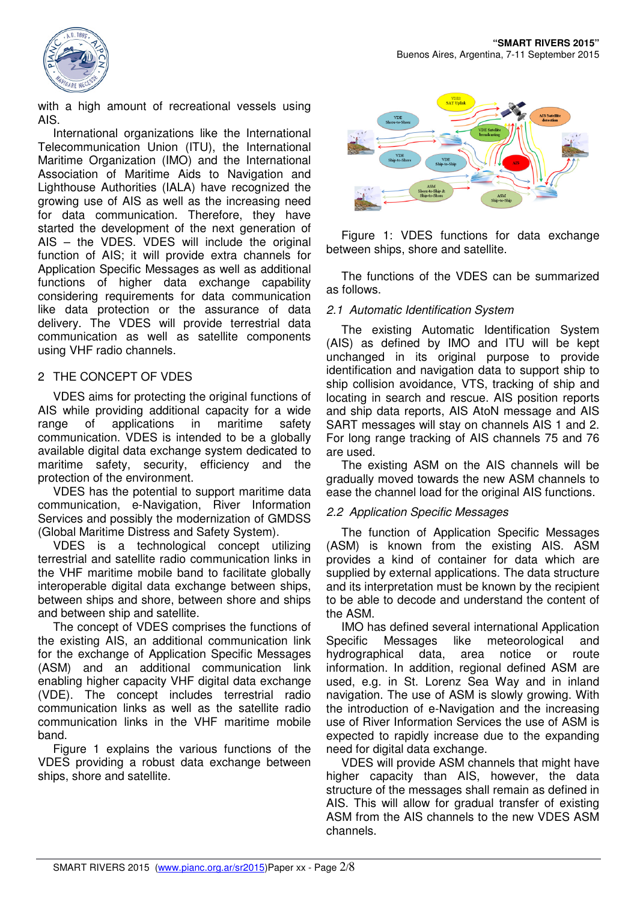

with a high amount of recreational vessels using AIS.

International organizations like the International Telecommunication Union (ITU), the International Maritime Organization (IMO) and the International Association of Maritime Aids to Navigation and Lighthouse Authorities (IALA) have recognized the growing use of AIS as well as the increasing need for data communication. Therefore, they have started the development of the next generation of AIS – the VDES. VDES will include the original function of AIS; it will provide extra channels for Application Specific Messages as well as additional functions of higher data exchange capability considering requirements for data communication like data protection or the assurance of data delivery. The VDES will provide terrestrial data communication as well as satellite components using VHF radio channels.

# 2 THE CONCEPT OF VDES

VDES aims for protecting the original functions of AIS while providing additional capacity for a wide range of applications in maritime safety communication. VDES is intended to be a globally available digital data exchange system dedicated to maritime safety, security, efficiency and the protection of the environment.

VDES has the potential to support maritime data communication, e-Navigation, River Information Services and possibly the modernization of GMDSS (Global Maritime Distress and Safety System).

VDES is a technological concept utilizing terrestrial and satellite radio communication links in the VHF maritime mobile band to facilitate globally interoperable digital data exchange between ships, between ships and shore, between shore and ships and between ship and satellite.

The concept of VDES comprises the functions of the existing AIS, an additional communication link for the exchange of Application Specific Messages (ASM) and an additional communication link enabling higher capacity VHF digital data exchange (VDE). The concept includes terrestrial radio communication links as well as the satellite radio communication links in the VHF maritime mobile band.

Figure 1 explains the various functions of the VDES providing a robust data exchange between ships, shore and satellite.



Figure 1: VDES functions for data exchange between ships, shore and satellite.

The functions of the VDES can be summarized as follows.

#### 2.1 Automatic Identification System

The existing Automatic Identification System (AIS) as defined by IMO and ITU will be kept unchanged in its original purpose to provide identification and navigation data to support ship to ship collision avoidance, VTS, tracking of ship and locating in search and rescue. AIS position reports and ship data reports, AIS AtoN message and AIS SART messages will stay on channels AIS 1 and 2. For long range tracking of AIS channels 75 and 76 are used.

The existing ASM on the AIS channels will be gradually moved towards the new ASM channels to ease the channel load for the original AIS functions.

#### 2.2 Application Specific Messages

The function of Application Specific Messages (ASM) is known from the existing AIS. ASM provides a kind of container for data which are supplied by external applications. The data structure and its interpretation must be known by the recipient to be able to decode and understand the content of the ASM.

IMO has defined several international Application Specific Messages like meteorological and hydrographical data, area notice or route information. In addition, regional defined ASM are used, e.g. in St. Lorenz Sea Way and in inland navigation. The use of ASM is slowly growing. With the introduction of e-Navigation and the increasing use of River Information Services the use of ASM is expected to rapidly increase due to the expanding need for digital data exchange.

VDES will provide ASM channels that might have higher capacity than AIS, however, the data structure of the messages shall remain as defined in AIS. This will allow for gradual transfer of existing ASM from the AIS channels to the new VDES ASM channels.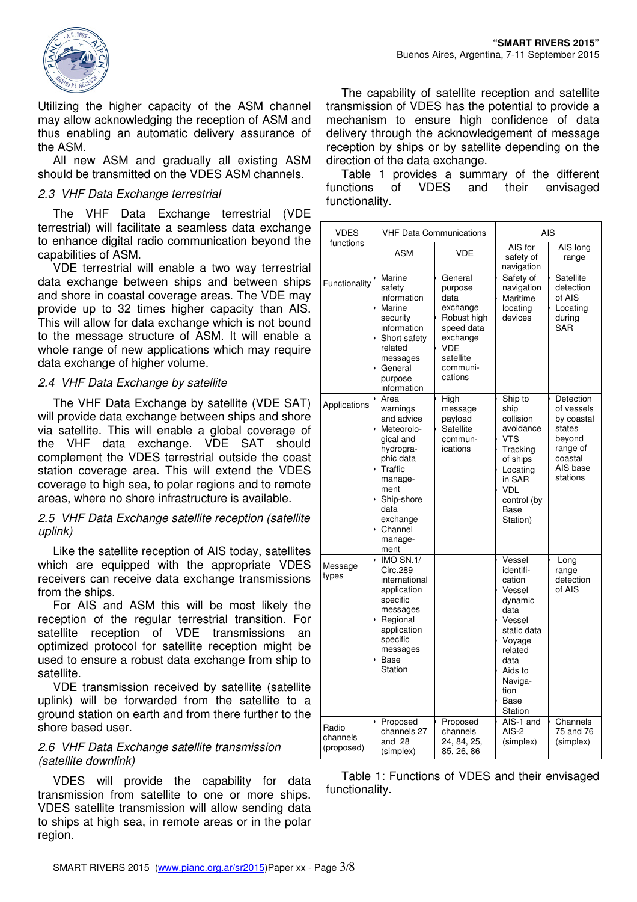

Utilizing the higher capacity of the ASM channel may allow acknowledging the reception of ASM and thus enabling an automatic delivery assurance of the ASM.

All new ASM and gradually all existing ASM should be transmitted on the VDES ASM channels.

#### 2.3 VHF Data Exchange terrestrial

The VHF Data Exchange terrestrial (VDE terrestrial) will facilitate a seamless data exchange to enhance digital radio communication beyond the capabilities of ASM.

VDE terrestrial will enable a two way terrestrial data exchange between ships and between ships and shore in coastal coverage areas. The VDE may provide up to 32 times higher capacity than AIS. This will allow for data exchange which is not bound to the message structure of ASM. It will enable a whole range of new applications which may require data exchange of higher volume.

#### 2.4 VHF Data Exchange by satellite

The VHF Data Exchange by satellite (VDE SAT) will provide data exchange between ships and shore via satellite. This will enable a global coverage of the VHF data exchange. VDE SAT should complement the VDES terrestrial outside the coast station coverage area. This will extend the VDES coverage to high sea, to polar regions and to remote areas, where no shore infrastructure is available.

#### 2.5 VHF Data Exchange satellite reception (satellite uplink)

Like the satellite reception of AIS today, satellites which are equipped with the appropriate VDES receivers can receive data exchange transmissions from the ships.

For AIS and ASM this will be most likely the reception of the regular terrestrial transition. For satellite reception of VDE transmissions an optimized protocol for satellite reception might be used to ensure a robust data exchange from ship to satellite.

VDE transmission received by satellite (satellite uplink) will be forwarded from the satellite to a ground station on earth and from there further to the shore based user.

#### 2.6 VHF Data Exchange satellite transmission (satellite downlink)

VDES will provide the capability for data transmission from satellite to one or more ships. VDES satellite transmission will allow sending data to ships at high sea, in remote areas or in the polar region.

The capability of satellite reception and satellite transmission of VDES has the potential to provide a mechanism to ensure high confidence of data delivery through the acknowledgement of message reception by ships or by satellite depending on the direction of the data exchange.

Table 1 provides a summary of the different functions of VDES and their envisaged functionality.

| <b>VDES</b><br>functions        | <b>VHF Data Communications</b>                                                                                                                                                    |                                                                                                                                   | <b>AIS</b>                                                                                                                                                        |                                                                                                          |
|---------------------------------|-----------------------------------------------------------------------------------------------------------------------------------------------------------------------------------|-----------------------------------------------------------------------------------------------------------------------------------|-------------------------------------------------------------------------------------------------------------------------------------------------------------------|----------------------------------------------------------------------------------------------------------|
|                                 | ASM                                                                                                                                                                               | <b>VDE</b>                                                                                                                        | AIS for<br>safety of<br>navigation                                                                                                                                | AIS long<br>range                                                                                        |
| Functionality                   | Marine<br>safety<br>information<br>Marine<br>security<br>information<br>Short safety<br>related<br>messages<br>General<br>purpose<br>information                                  | General<br>purpose<br>data<br>exchange<br>Robust high<br>speed data<br>exchange<br><b>VDE</b><br>satellite<br>communi-<br>cations | Safety of<br>navigation<br>Maritime<br>locating<br>devices                                                                                                        | Satellite<br>detection<br>of AIS<br>Locating<br>during<br>SAR                                            |
| Applications                    | Area<br>warnings<br>and advice<br>Meteorolo-<br>gical and<br>hydrogra-<br>phic data<br>Traffic<br>manage-<br>ment<br>Ship-shore<br>data<br>exchange<br>Channel<br>manage-<br>ment | High<br>message<br>payload<br>Satellite<br>commun-<br>ications                                                                    | Ship to<br>ship<br>collision<br>avoidance<br>VTS<br>Tracking<br>of ships<br>Locating<br>in SAR<br><b>VDL</b><br>control (by<br>Base<br>Station)                   | Detection<br>of vessels<br>by coastal<br>states<br>beyond<br>range of<br>coastal<br>AIS base<br>stations |
| Message<br>types                | IMO SN.1/<br>Circ.289<br>international<br>application<br>specific<br>messages<br>Regional<br>application<br>specific<br>messages<br>Base<br>Station                               |                                                                                                                                   | Vessel<br>identifi-<br>cation<br>Vessel<br>dynamic<br>data<br>Vessel<br>static data<br>Voyage<br>related<br>data<br>Aids to<br>Naviga-<br>tion<br>Base<br>Station | Long<br>range<br>detection<br>of AIS                                                                     |
| Radio<br>channels<br>(proposed) | Proposed<br>channels 27<br>and 28<br>(simplex)                                                                                                                                    | Proposed<br>channels<br>24, 84, 25,<br>85, 26, 86                                                                                 | AIS-1 and<br>AIS-2<br>(simplex)                                                                                                                                   | Channels<br>75 and 76<br>(simplex)                                                                       |

Table 1: Functions of VDES and their envisaged functionality.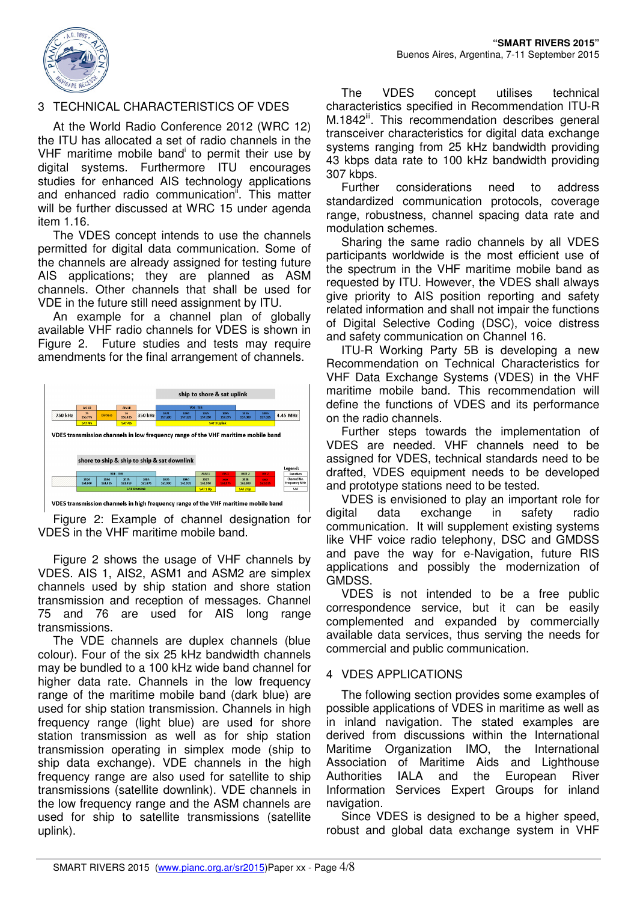

# 3 TECHNICAL CHARACTERISTICS OF VDES

At the World Radio Conference 2012 (WRC 12) the ITU has allocated a set of radio channels in the VHF maritime mobile band<sup>i</sup> to permit their use by digital systems. Furthermore ITU encourages studies for enhanced AIS technology applications and enhanced radio communication<sup>"</sup>. This matter will be further discussed at WRC 15 under agenda item 1.16.

The VDES concept intends to use the channels permitted for digital data communication. Some of the channels are already assigned for testing future AIS applications; they are planned as ASM channels. Other channels that shall be used for VDE in the future still need assignment by ITU.

An example for a channel plan of globally available VHF radio channels for VDES is shown in Figure 2. Future studies and tests may require amendments for the final arrangement of channels.



VDES transmission channels in high frequency range of the VHF maritime mobile band

Figure 2: Example of channel designation for VDES in the VHF maritime mobile band.

Figure 2 shows the usage of VHF channels by VDES. AIS 1, AIS2, ASM1 and ASM2 are simplex channels used by ship station and shore station transmission and reception of messages. Channel 75 and 76 are used for AIS long range transmissions.

The VDE channels are duplex channels (blue colour). Four of the six 25 kHz bandwidth channels may be bundled to a 100 kHz wide band channel for higher data rate. Channels in the low frequency range of the maritime mobile band (dark blue) are used for ship station transmission. Channels in high frequency range (light blue) are used for shore station transmission as well as for ship station transmission operating in simplex mode (ship to ship data exchange). VDE channels in the high frequency range are also used for satellite to ship transmissions (satellite downlink). VDE channels in the low frequency range and the ASM channels are used for ship to satellite transmissions (satellite uplink).

The VDES concept utilises technical characteristics specified in Recommendation ITU-R M.1842<sup>iii</sup>. This recommendation describes general transceiver characteristics for digital data exchange systems ranging from 25 kHz bandwidth providing 43 kbps data rate to 100 kHz bandwidth providing 307 kbps.

Further considerations need to address standardized communication protocols, coverage range, robustness, channel spacing data rate and modulation schemes.

Sharing the same radio channels by all VDES participants worldwide is the most efficient use of the spectrum in the VHF maritime mobile band as requested by ITU. However, the VDES shall always give priority to AIS position reporting and safety related information and shall not impair the functions of Digital Selective Coding (DSC), voice distress and safety communication on Channel 16.

ITU-R Working Party 5B is developing a new Recommendation on Technical Characteristics for VHF Data Exchange Systems (VDES) in the VHF maritime mobile band. This recommendation will define the functions of VDES and its performance on the radio channels.

Further steps towards the implementation of VDES are needed. VHF channels need to be assigned for VDES, technical standards need to be drafted, VDES equipment needs to be developed and prototype stations need to be tested.

VDES is envisioned to play an important role for digital data exchange in safety radio communication. It will supplement existing systems like VHF voice radio telephony, DSC and GMDSS and pave the way for e-Navigation, future RIS applications and possibly the modernization of GMDSS.

VDES is not intended to be a free public correspondence service, but it can be easily complemented and expanded by commercially available data services, thus serving the needs for commercial and public communication.

# 4 VDES APPLICATIONS

The following section provides some examples of possible applications of VDES in maritime as well as in inland navigation. The stated examples are derived from discussions within the International Maritime Organization IMO, the International Association of Maritime Aids and Lighthouse Authorities IALA and the European River Information Services Expert Groups for inland navigation.

Since VDES is designed to be a higher speed, robust and global data exchange system in VHF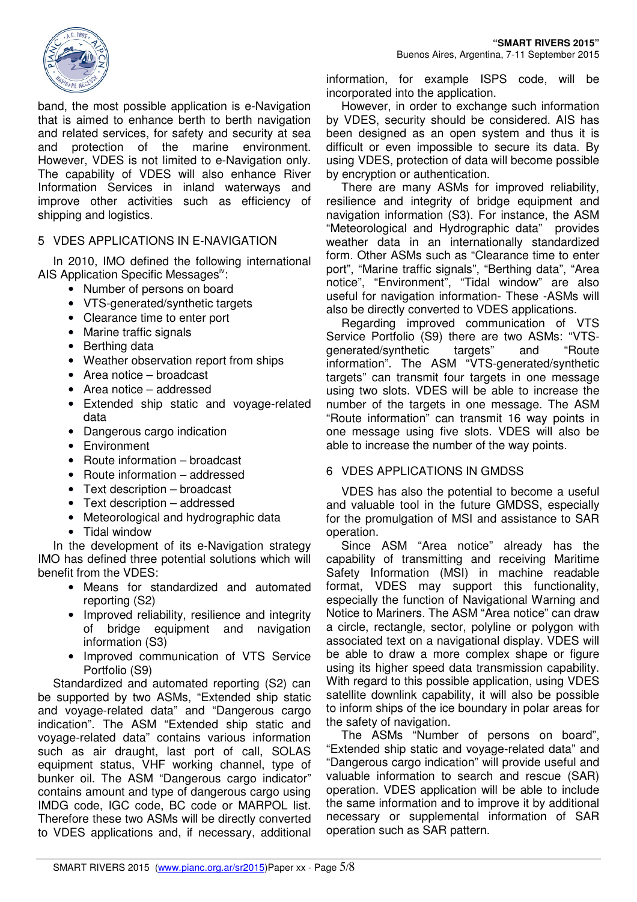

band, the most possible application is e-Navigation that is aimed to enhance berth to berth navigation and related services, for safety and security at sea and protection of the marine environment. However, VDES is not limited to e-Navigation only. The capability of VDES will also enhance River Information Services in inland waterways and improve other activities such as efficiency of shipping and logistics.

#### 5 VDES APPLICATIONS IN E-NAVIGATION

In 2010, IMO defined the following international AIS Application Specific Messages<sup>iv</sup>:

- Number of persons on board
- VTS-generated/synthetic targets
- Clearance time to enter port
- Marine traffic signals
- Berthing data
- Weather observation report from ships
- Area notice broadcast
- Area notice addressed
- Extended ship static and voyage-related data
- Dangerous cargo indication
- Environment
- Route information broadcast
- Route information addressed
- Text description broadcast
- Text description addressed
- Meteorological and hydrographic data
- Tidal window

In the development of its e-Navigation strategy IMO has defined three potential solutions which will benefit from the VDES:

- Means for standardized and automated reporting (S2)
- Improved reliability, resilience and integrity of bridge equipment and navigation information (S3)
- Improved communication of VTS Service Portfolio (S9)

Standardized and automated reporting (S2) can be supported by two ASMs, "Extended ship static and voyage-related data" and "Dangerous cargo indication". The ASM "Extended ship static and voyage-related data" contains various information such as air draught, last port of call, SOLAS equipment status, VHF working channel, type of bunker oil. The ASM "Dangerous cargo indicator" contains amount and type of dangerous cargo using IMDG code, IGC code, BC code or MARPOL list. Therefore these two ASMs will be directly converted to VDES applications and, if necessary, additional

information, for example ISPS code, will be incorporated into the application.

**"SMART RIVERS 2015"** 

However, in order to exchange such information by VDES, security should be considered. AIS has been designed as an open system and thus it is difficult or even impossible to secure its data. By using VDES, protection of data will become possible by encryption or authentication.

There are many ASMs for improved reliability, resilience and integrity of bridge equipment and navigation information (S3). For instance, the ASM "Meteorological and Hydrographic data" provides weather data in an internationally standardized form. Other ASMs such as "Clearance time to enter port", "Marine traffic signals", "Berthing data", "Area notice", "Environment", "Tidal window" are also useful for navigation information- These -ASMs will also be directly converted to VDES applications.

Regarding improved communication of VTS Service Portfolio (S9) there are two ASMs: "VTSgenerated/synthetic targets" and "Route information". The ASM "VTS-generated/synthetic targets" can transmit four targets in one message using two slots. VDES will be able to increase the number of the targets in one message. The ASM "Route information" can transmit 16 way points in one message using five slots. VDES will also be able to increase the number of the way points.

#### 6 VDES APPLICATIONS IN GMDSS

VDES has also the potential to become a useful and valuable tool in the future GMDSS, especially for the promulgation of MSI and assistance to SAR operation.

Since ASM "Area notice" already has the capability of transmitting and receiving Maritime Safety Information (MSI) in machine readable format, VDES may support this functionality, especially the function of Navigational Warning and Notice to Mariners. The ASM "Area notice" can draw a circle, rectangle, sector, polyline or polygon with associated text on a navigational display. VDES will be able to draw a more complex shape or figure using its higher speed data transmission capability. With regard to this possible application, using VDES satellite downlink capability, it will also be possible to inform ships of the ice boundary in polar areas for the safety of navigation.

The ASMs "Number of persons on board", "Extended ship static and voyage-related data" and "Dangerous cargo indication" will provide useful and valuable information to search and rescue (SAR) operation. VDES application will be able to include the same information and to improve it by additional necessary or supplemental information of SAR operation such as SAR pattern.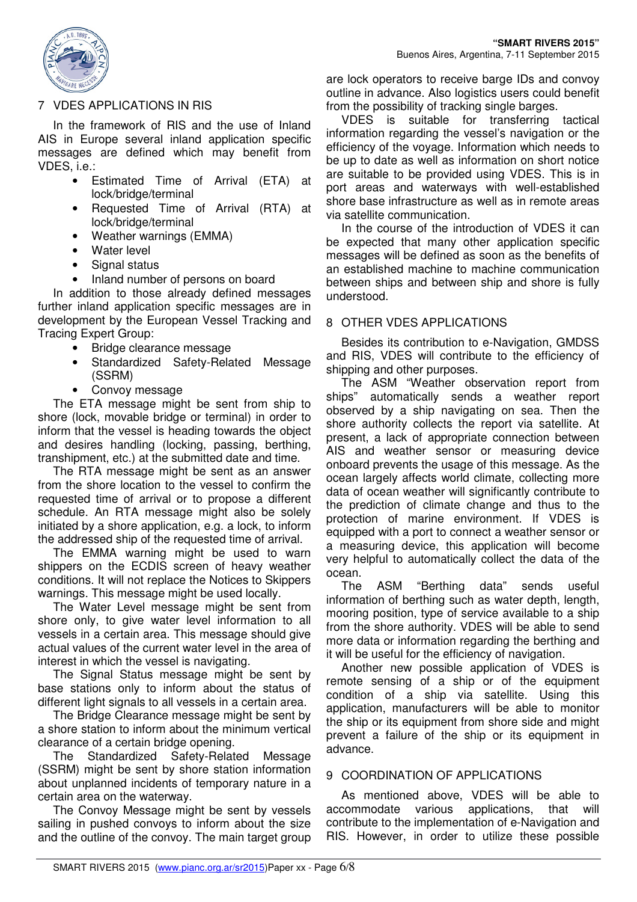

# 7 VDES APPLICATIONS IN RIS

In the framework of RIS and the use of Inland AIS in Europe several inland application specific messages are defined which may benefit from VDES, i.e.:

- Estimated Time of Arrival (ETA) at lock/bridge/terminal
- Requested Time of Arrival (RTA) at lock/bridge/terminal
- Weather warnings (EMMA)
- Water level
- Signal status
- Inland number of persons on board

In addition to those already defined messages further inland application specific messages are in development by the European Vessel Tracking and Tracing Expert Group:

- Bridge clearance message
- Standardized Safety-Related Message (SSRM)
- Convoy message

The ETA message might be sent from ship to shore (lock, movable bridge or terminal) in order to inform that the vessel is heading towards the object and desires handling (locking, passing, berthing, transhipment, etc.) at the submitted date and time.

The RTA message might be sent as an answer from the shore location to the vessel to confirm the requested time of arrival or to propose a different schedule. An RTA message might also be solely initiated by a shore application, e.g. a lock, to inform the addressed ship of the requested time of arrival.

The EMMA warning might be used to warn shippers on the ECDIS screen of heavy weather conditions. It will not replace the Notices to Skippers warnings. This message might be used locally.

The Water Level message might be sent from shore only, to give water level information to all vessels in a certain area. This message should give actual values of the current water level in the area of interest in which the vessel is navigating.

The Signal Status message might be sent by base stations only to inform about the status of different light signals to all vessels in a certain area.

The Bridge Clearance message might be sent by a shore station to inform about the minimum vertical clearance of a certain bridge opening.

The Standardized Safety-Related Message (SSRM) might be sent by shore station information about unplanned incidents of temporary nature in a certain area on the waterway.

The Convoy Message might be sent by vessels sailing in pushed convoys to inform about the size and the outline of the convoy. The main target group are lock operators to receive barge IDs and convoy outline in advance. Also logistics users could benefit from the possibility of tracking single barges.

VDES is suitable for transferring tactical information regarding the vessel's navigation or the efficiency of the voyage. Information which needs to be up to date as well as information on short notice are suitable to be provided using VDES. This is in port areas and waterways with well-established shore base infrastructure as well as in remote areas via satellite communication.

In the course of the introduction of VDES it can be expected that many other application specific messages will be defined as soon as the benefits of an established machine to machine communication between ships and between ship and shore is fully understood.

#### 8 OTHER VDES APPLICATIONS

Besides its contribution to e-Navigation, GMDSS and RIS, VDES will contribute to the efficiency of shipping and other purposes.

The ASM "Weather observation report from ships" automatically sends a weather report observed by a ship navigating on sea. Then the shore authority collects the report via satellite. At present, a lack of appropriate connection between AIS and weather sensor or measuring device onboard prevents the usage of this message. As the ocean largely affects world climate, collecting more data of ocean weather will significantly contribute to the prediction of climate change and thus to the protection of marine environment. If VDES is equipped with a port to connect a weather sensor or a measuring device, this application will become very helpful to automatically collect the data of the ocean.

The ASM "Berthing data" sends useful information of berthing such as water depth, length, mooring position, type of service available to a ship from the shore authority. VDES will be able to send more data or information regarding the berthing and it will be useful for the efficiency of navigation.

Another new possible application of VDES is remote sensing of a ship or of the equipment condition of a ship via satellite. Using this application, manufacturers will be able to monitor the ship or its equipment from shore side and might prevent a failure of the ship or its equipment in advance.

#### 9 COORDINATION OF APPLICATIONS

As mentioned above, VDES will be able to accommodate various applications, that will contribute to the implementation of e-Navigation and RIS. However, in order to utilize these possible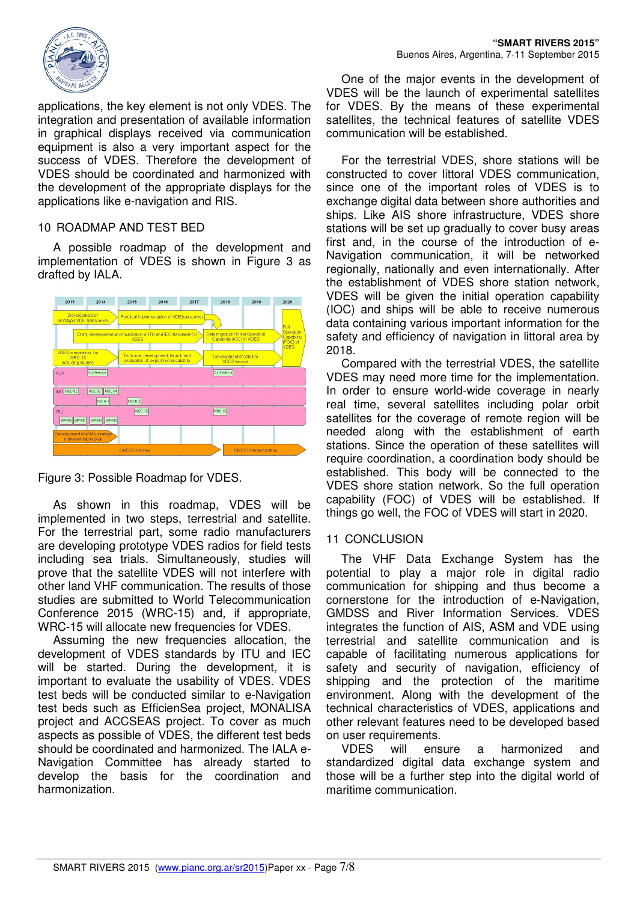

applications, the key element is not only VDES. The integration and presentation of available information in graphical displays received via communication equipment is also a very important aspect for the success of VDES. Therefore the development of VDES should be coordinated and harmonized with the development of the appropriate displays for the applications like e-navigation and RIS.

# 10 ROADMAP AND TEST BED

A possible roadmap of the development and implementation of VDES is shown in Figure 3 as drafted by IALA.



Figure 3: Possible Roadmap for VDES.

As shown in this roadmap, VDES will be implemented in two steps, terrestrial and satellite. For the terrestrial part, some radio manufacturers are developing prototype VDES radios for field tests including sea trials. Simultaneously, studies will prove that the satellite VDES will not interfere with other land VHF communication. The results of those studies are submitted to World Telecommunication Conference 2015 (WRC-15) and, if appropriate, WRC-15 will allocate new frequencies for VDES.

Assuming the new frequencies allocation, the development of VDES standards by ITU and IEC will be started. During the development, it is important to evaluate the usability of VDES. VDES test beds will be conducted similar to e-Navigation test beds such as EfficienSea project, MONALISA project and ACCSEAS project. To cover as much aspects as possible of VDES, the different test beds should be coordinated and harmonized. The IALA e-Navigation Committee has already started to develop the basis for the coordination and harmonization.

One of the major events in the development of VDES will be the launch of experimental satellites for VDES. By the means of these experimental satellites, the technical features of satellite VDES communication will be established.

For the terrestrial VDES, shore stations will be constructed to cover littoral VDES communication, since one of the important roles of VDES is to exchange digital data between shore authorities and ships. Like AIS shore infrastructure, VDES shore stations will be set up gradually to cover busy areas first and, in the course of the introduction of e-Navigation communication, it will be networked regionally, nationally and even internationally. After the establishment of VDES shore station network, VDES will be given the initial operation capability (IOC) and ships will be able to receive numerous data containing various important information for the safety and efficiency of navigation in littoral area by 2018.

Compared with the terrestrial VDES, the satellite VDES may need more time for the implementation. In order to ensure world-wide coverage in nearly real time, several satellites including polar orbit satellites for the coverage of remote region will be needed along with the establishment of earth stations. Since the operation of these satellites will require coordination, a coordination body should be established. This body will be connected to the VDES shore station network. So the full operation capability (FOC) of VDES will be established. If things go well, the FOC of VDES will start in 2020.

#### 11 CONCLUSION

The VHF Data Exchange System has the potential to play a major role in digital radio communication for shipping and thus become a cornerstone for the introduction of e-Navigation, GMDSS and River Information Services. VDES integrates the function of AIS, ASM and VDE using terrestrial and satellite communication and is capable of facilitating numerous applications for safety and security of navigation, efficiency of shipping and the protection of the maritime environment. Along with the development of the technical characteristics of VDES, applications and other relevant features need to be developed based on user requirements.

VDES will ensure a harmonized and standardized digital data exchange system and those will be a further step into the digital world of maritime communication.